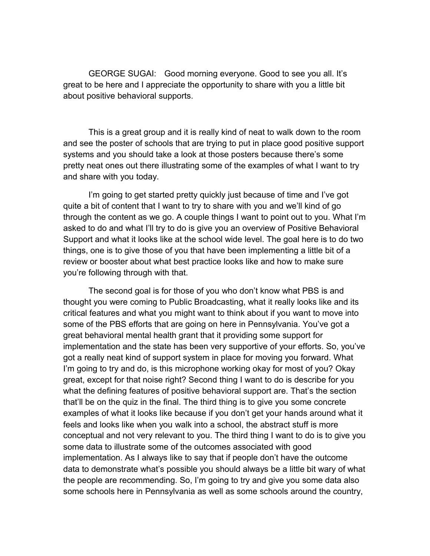GEORGE SUGAI: Good morning everyone. Good to see you all. It's great to be here and I appreciate the opportunity to share with you a little bit about positive behavioral supports.

This is a great group and it is really kind of neat to walk down to the room and see the poster of schools that are trying to put in place good positive support systems and you should take a look at those posters because there's some pretty neat ones out there illustrating some of the examples of what I want to try and share with you today.

I'm going to get started pretty quickly just because of time and I've got quite a bit of content that I want to try to share with you and we'll kind of go through the content as we go. A couple things I want to point out to you. What I'm asked to do and what I'll try to do is give you an overview of Positive Behavioral Support and what it looks like at the school wide level. The goal here is to do two things, one is to give those of you that have been implementing a little bit of a review or booster about what best practice looks like and how to make sure you're following through with that.

The second goal is for those of you who don't know what PBS is and thought you were coming to Public Broadcasting, what it really looks like and its critical features and what you might want to think about if you want to move into some of the PBS efforts that are going on here in Pennsylvania. You've got a great behavioral mental health grant that it providing some support for implementation and the state has been very supportive of your efforts. So, you've got a really neat kind of support system in place for moving you forward. What I'm going to try and do, is this microphone working okay for most of you? Okay great, except for that noise right? Second thing I want to do is describe for you what the defining features of positive behavioral support are. That's the section that'll be on the quiz in the final. The third thing is to give you some concrete examples of what it looks like because if you don't get your hands around what it feels and looks like when you walk into a school, the abstract stuff is more conceptual and not very relevant to you. The third thing I want to do is to give you some data to illustrate some of the outcomes associated with good implementation. As I always like to say that if people don't have the outcome data to demonstrate what's possible you should always be a little bit wary of what the people are recommending. So, I'm going to try and give you some data also some schools here in Pennsylvania as well as some schools around the country,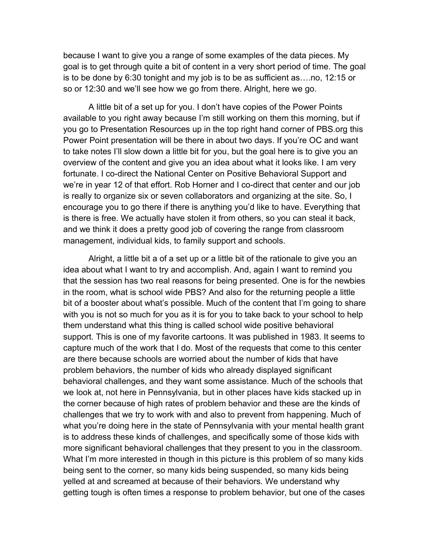because I want to give you a range of some examples of the data pieces. My goal is to get through quite a bit of content in a very short period of time. The goal is to be done by 6:30 tonight and my job is to be as sufficient as….no, 12:15 or so or 12:30 and we'll see how we go from there. Alright, here we go.

A little bit of a set up for you. I don't have copies of the Power Points available to you right away because I'm still working on them this morning, but if you go to Presentation Resources up in the top right hand corner of PBS.org this Power Point presentation will be there in about two days. If you're OC and want to take notes I'll slow down a little bit for you, but the goal here is to give you an overview of the content and give you an idea about what it looks like. I am very fortunate. I co-direct the National Center on Positive Behavioral Support and we're in year 12 of that effort. Rob Horner and I co-direct that center and our job is really to organize six or seven collaborators and organizing at the site. So, I encourage you to go there if there is anything you'd like to have. Everything that is there is free. We actually have stolen it from others, so you can steal it back, and we think it does a pretty good job of covering the range from classroom management, individual kids, to family support and schools.

Alright, a little bit a of a set up or a little bit of the rationale to give you an idea about what I want to try and accomplish. And, again I want to remind you that the session has two real reasons for being presented. One is for the newbies in the room, what is school wide PBS? And also for the returning people a little bit of a booster about what's possible. Much of the content that I'm going to share with you is not so much for you as it is for you to take back to your school to help them understand what this thing is called school wide positive behavioral support. This is one of my favorite cartoons. It was published in 1983. It seems to capture much of the work that I do. Most of the requests that come to this center are there because schools are worried about the number of kids that have problem behaviors, the number of kids who already displayed significant behavioral challenges, and they want some assistance. Much of the schools that we look at, not here in Pennsylvania, but in other places have kids stacked up in the corner because of high rates of problem behavior and these are the kinds of challenges that we try to work with and also to prevent from happening. Much of what you're doing here in the state of Pennsylvania with your mental health grant is to address these kinds of challenges, and specifically some of those kids with more significant behavioral challenges that they present to you in the classroom. What I'm more interested in though in this picture is this problem of so many kids being sent to the corner, so many kids being suspended, so many kids being yelled at and screamed at because of their behaviors. We understand why getting tough is often times a response to problem behavior, but one of the cases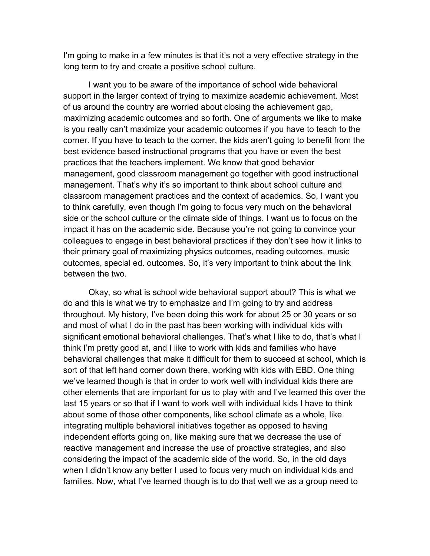I'm going to make in a few minutes is that it's not a very effective strategy in the long term to try and create a positive school culture.

I want you to be aware of the importance of school wide behavioral support in the larger context of trying to maximize academic achievement. Most of us around the country are worried about closing the achievement gap, maximizing academic outcomes and so forth. One of arguments we like to make is you really can't maximize your academic outcomes if you have to teach to the corner. If you have to teach to the corner, the kids aren't going to benefit from the best evidence based instructional programs that you have or even the best practices that the teachers implement. We know that good behavior management, good classroom management go together with good instructional management. That's why it's so important to think about school culture and classroom management practices and the context of academics. So, I want you to think carefully, even though I'm going to focus very much on the behavioral side or the school culture or the climate side of things. I want us to focus on the impact it has on the academic side. Because you're not going to convince your colleagues to engage in best behavioral practices if they don't see how it links to their primary goal of maximizing physics outcomes, reading outcomes, music outcomes, special ed. outcomes. So, it's very important to think about the link between the two.

Okay, so what is school wide behavioral support about? This is what we do and this is what we try to emphasize and I'm going to try and address throughout. My history, I've been doing this work for about 25 or 30 years or so and most of what I do in the past has been working with individual kids with significant emotional behavioral challenges. That's what I like to do, that's what I think I'm pretty good at, and I like to work with kids and families who have behavioral challenges that make it difficult for them to succeed at school, which is sort of that left hand corner down there, working with kids with EBD. One thing we've learned though is that in order to work well with individual kids there are other elements that are important for us to play with and I've learned this over the last 15 years or so that if I want to work well with individual kids I have to think about some of those other components, like school climate as a whole, like integrating multiple behavioral initiatives together as opposed to having independent efforts going on, like making sure that we decrease the use of reactive management and increase the use of proactive strategies, and also considering the impact of the academic side of the world. So, in the old days when I didn't know any better I used to focus very much on individual kids and families. Now, what I've learned though is to do that well we as a group need to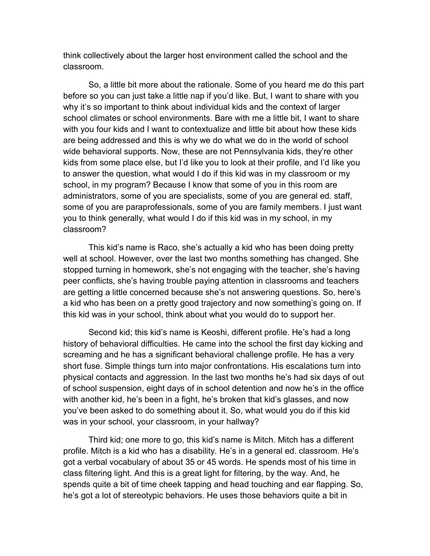think collectively about the larger host environment called the school and the classroom.

So, a little bit more about the rationale. Some of you heard me do this part before so you can just take a little nap if you'd like. But, I want to share with you why it's so important to think about individual kids and the context of larger school climates or school environments. Bare with me a little bit, I want to share with you four kids and I want to contextualize and little bit about how these kids are being addressed and this is why we do what we do in the world of school wide behavioral supports. Now, these are not Pennsylvania kids, they're other kids from some place else, but I'd like you to look at their profile, and I'd like you to answer the question, what would I do if this kid was in my classroom or my school, in my program? Because I know that some of you in this room are administrators, some of you are specialists, some of you are general ed. staff, some of you are paraprofessionals, some of you are family members. I just want you to think generally, what would I do if this kid was in my school, in my classroom?

This kid's name is Raco, she's actually a kid who has been doing pretty well at school. However, over the last two months something has changed. She stopped turning in homework, she's not engaging with the teacher, she's having peer conflicts, she's having trouble paying attention in classrooms and teachers are getting a little concerned because she's not answering questions. So, here's a kid who has been on a pretty good trajectory and now something's going on. If this kid was in your school, think about what you would do to support her.

Second kid; this kid's name is Keoshi, different profile. He's had a long history of behavioral difficulties. He came into the school the first day kicking and screaming and he has a significant behavioral challenge profile. He has a very short fuse. Simple things turn into major confrontations. His escalations turn into physical contacts and aggression. In the last two months he's had six days of out of school suspension, eight days of in school detention and now he's in the office with another kid, he's been in a fight, he's broken that kid's glasses, and now you've been asked to do something about it. So, what would you do if this kid was in your school, your classroom, in your hallway?

Third kid; one more to go, this kid's name is Mitch. Mitch has a different profile. Mitch is a kid who has a disability. He's in a general ed. classroom. He's got a verbal vocabulary of about 35 or 45 words. He spends most of his time in class filtering light. And this is a great light for filtering, by the way. And, he spends quite a bit of time cheek tapping and head touching and ear flapping. So, he's got a lot of stereotypic behaviors. He uses those behaviors quite a bit in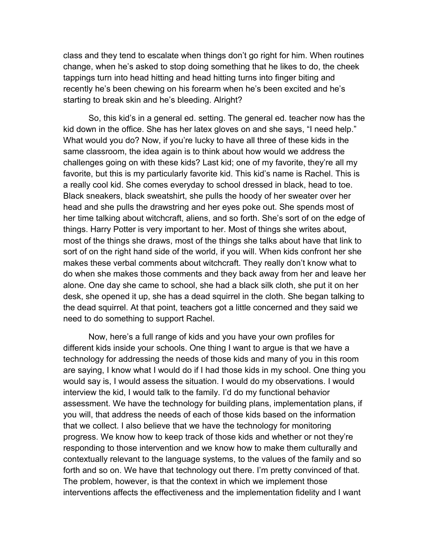class and they tend to escalate when things don't go right for him. When routines change, when he's asked to stop doing something that he likes to do, the cheek tappings turn into head hitting and head hitting turns into finger biting and recently he's been chewing on his forearm when he's been excited and he's starting to break skin and he's bleeding. Alright?

So, this kid's in a general ed. setting. The general ed. teacher now has the kid down in the office. She has her latex gloves on and she says, "I need help." What would you do? Now, if you're lucky to have all three of these kids in the same classroom, the idea again is to think about how would we address the challenges going on with these kids? Last kid; one of my favorite, they're all my favorite, but this is my particularly favorite kid. This kid's name is Rachel. This is a really cool kid. She comes everyday to school dressed in black, head to toe. Black sneakers, black sweatshirt, she pulls the hoody of her sweater over her head and she pulls the drawstring and her eyes poke out. She spends most of her time talking about witchcraft, aliens, and so forth. She's sort of on the edge of things. Harry Potter is very important to her. Most of things she writes about, most of the things she draws, most of the things she talks about have that link to sort of on the right hand side of the world, if you will. When kids confront her she makes these verbal comments about witchcraft. They really don't know what to do when she makes those comments and they back away from her and leave her alone. One day she came to school, she had a black silk cloth, she put it on her desk, she opened it up, she has a dead squirrel in the cloth. She began talking to the dead squirrel. At that point, teachers got a little concerned and they said we need to do something to support Rachel.

Now, here's a full range of kids and you have your own profiles for different kids inside your schools. One thing I want to argue is that we have a technology for addressing the needs of those kids and many of you in this room are saying, I know what I would do if I had those kids in my school. One thing you would say is, I would assess the situation. I would do my observations. I would interview the kid, I would talk to the family. I'd do my functional behavior assessment. We have the technology for building plans, implementation plans, if you will, that address the needs of each of those kids based on the information that we collect. I also believe that we have the technology for monitoring progress. We know how to keep track of those kids and whether or not they're responding to those intervention and we know how to make them culturally and contextually relevant to the language systems, to the values of the family and so forth and so on. We have that technology out there. I'm pretty convinced of that. The problem, however, is that the context in which we implement those interventions affects the effectiveness and the implementation fidelity and I want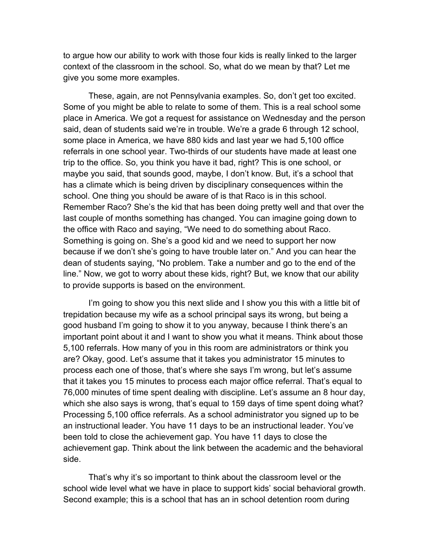to argue how our ability to work with those four kids is really linked to the larger context of the classroom in the school. So, what do we mean by that? Let me give you some more examples.

These, again, are not Pennsylvania examples. So, don't get too excited. Some of you might be able to relate to some of them. This is a real school some place in America. We got a request for assistance on Wednesday and the person said, dean of students said we're in trouble. We're a grade 6 through 12 school, some place in America, we have 880 kids and last year we had 5,100 office referrals in one school year. Two-thirds of our students have made at least one trip to the office. So, you think you have it bad, right? This is one school, or maybe you said, that sounds good, maybe, I don't know. But, it's a school that has a climate which is being driven by disciplinary consequences within the school. One thing you should be aware of is that Raco is in this school. Remember Raco? She's the kid that has been doing pretty well and that over the last couple of months something has changed. You can imagine going down to the office with Raco and saying, "We need to do something about Raco. Something is going on. She's a good kid and we need to support her now because if we don't she's going to have trouble later on." And you can hear the dean of students saying, "No problem. Take a number and go to the end of the line." Now, we got to worry about these kids, right? But, we know that our ability to provide supports is based on the environment.

I'm going to show you this next slide and I show you this with a little bit of trepidation because my wife as a school principal says its wrong, but being a good husband I'm going to show it to you anyway, because I think there's an important point about it and I want to show you what it means. Think about those 5,100 referrals. How many of you in this room are administrators or think you are? Okay, good. Let's assume that it takes you administrator 15 minutes to process each one of those, that's where she says I'm wrong, but let's assume that it takes you 15 minutes to process each major office referral. That's equal to 76,000 minutes of time spent dealing with discipline. Let's assume an 8 hour day, which she also says is wrong, that's equal to 159 days of time spent doing what? Processing 5,100 office referrals. As a school administrator you signed up to be an instructional leader. You have 11 days to be an instructional leader. You've been told to close the achievement gap. You have 11 days to close the achievement gap. Think about the link between the academic and the behavioral side.

That's why it's so important to think about the classroom level or the school wide level what we have in place to support kids' social behavioral growth. Second example; this is a school that has an in school detention room during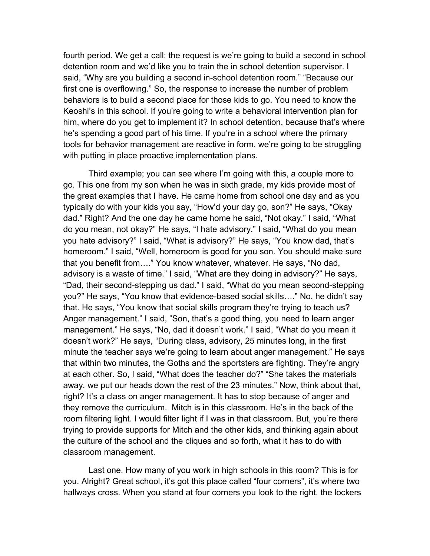fourth period. We get a call; the request is we're going to build a second in school detention room and we'd like you to train the in school detention supervisor. I said, "Why are you building a second in-school detention room." "Because our first one is overflowing." So, the response to increase the number of problem behaviors is to build a second place for those kids to go. You need to know the Keoshi's in this school. If you're going to write a behavioral intervention plan for him, where do you get to implement it? In school detention, because that's where he's spending a good part of his time. If you're in a school where the primary tools for behavior management are reactive in form, we're going to be struggling with putting in place proactive implementation plans.

Third example; you can see where I'm going with this, a couple more to go. This one from my son when he was in sixth grade, my kids provide most of the great examples that I have. He came home from school one day and as you typically do with your kids you say, "How'd your day go, son?" He says, "Okay dad." Right? And the one day he came home he said, "Not okay." I said, "What do you mean, not okay?" He says, "I hate advisory." I said, "What do you mean you hate advisory?" I said, "What is advisory?" He says, "You know dad, that's homeroom." I said, "Well, homeroom is good for you son. You should make sure that you benefit from…." You know whatever, whatever. He says, "No dad, advisory is a waste of time." I said, "What are they doing in advisory?" He says, "Dad, their second-stepping us dad." I said, "What do you mean second-stepping you?" He says, "You know that evidence-based social skills…." No, he didn't say that. He says, "You know that social skills program they're trying to teach us? Anger management." I said, "Son, that's a good thing, you need to learn anger management." He says, "No, dad it doesn't work." I said, "What do you mean it doesn't work?" He says, "During class, advisory, 25 minutes long, in the first minute the teacher says we're going to learn about anger management." He says that within two minutes, the Goths and the sportsters are fighting. They're angry at each other. So, I said, "What does the teacher do?" "She takes the materials away, we put our heads down the rest of the 23 minutes." Now, think about that, right? It's a class on anger management. It has to stop because of anger and they remove the curriculum. Mitch is in this classroom. He's in the back of the room filtering light. I would filter light if I was in that classroom. But, you're there trying to provide supports for Mitch and the other kids, and thinking again about the culture of the school and the cliques and so forth, what it has to do with classroom management.

Last one. How many of you work in high schools in this room? This is for you. Alright? Great school, it's got this place called "four corners", it's where two hallways cross. When you stand at four corners you look to the right, the lockers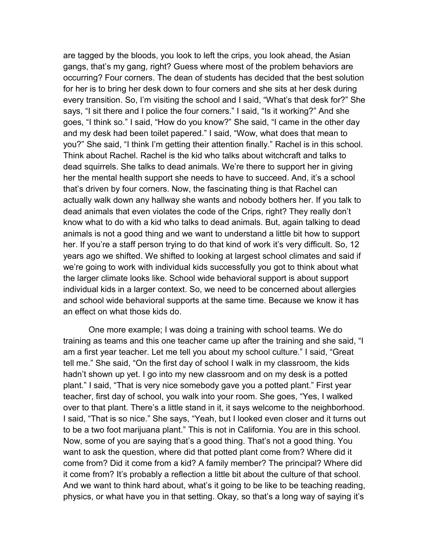are tagged by the bloods, you look to left the crips, you look ahead, the Asian gangs, that's my gang, right? Guess where most of the problem behaviors are occurring? Four corners. The dean of students has decided that the best solution for her is to bring her desk down to four corners and she sits at her desk during every transition. So, I'm visiting the school and I said, "What's that desk for?" She says, "I sit there and I police the four corners." I said, "Is it working?" And she goes, "I think so." I said, "How do you know?" She said, "I came in the other day and my desk had been toilet papered." I said, "Wow, what does that mean to you?" She said, "I think I'm getting their attention finally." Rachel is in this school. Think about Rachel. Rachel is the kid who talks about witchcraft and talks to dead squirrels. She talks to dead animals. We're there to support her in giving her the mental health support she needs to have to succeed. And, it's a school that's driven by four corners. Now, the fascinating thing is that Rachel can actually walk down any hallway she wants and nobody bothers her. If you talk to dead animals that even violates the code of the Crips, right? They really don't know what to do with a kid who talks to dead animals. But, again talking to dead animals is not a good thing and we want to understand a little bit how to support her. If you're a staff person trying to do that kind of work it's very difficult. So, 12 years ago we shifted. We shifted to looking at largest school climates and said if we're going to work with individual kids successfully you got to think about what the larger climate looks like. School wide behavioral support is about support individual kids in a larger context. So, we need to be concerned about allergies and school wide behavioral supports at the same time. Because we know it has an effect on what those kids do.

One more example; I was doing a training with school teams. We do training as teams and this one teacher came up after the training and she said, "I am a first year teacher. Let me tell you about my school culture." I said, "Great tell me." She said, "On the first day of school I walk in my classroom, the kids hadn't shown up yet. I go into my new classroom and on my desk is a potted plant." I said, "That is very nice somebody gave you a potted plant." First year teacher, first day of school, you walk into your room. She goes, "Yes, I walked over to that plant. There's a little stand in it, it says welcome to the neighborhood. I said, "That is so nice." She says, "Yeah, but I looked even closer and it turns out to be a two foot marijuana plant." This is not in California. You are in this school. Now, some of you are saying that's a good thing. That's not a good thing. You want to ask the question, where did that potted plant come from? Where did it come from? Did it come from a kid? A family member? The principal? Where did it come from? It's probably a reflection a little bit about the culture of that school. And we want to think hard about, what's it going to be like to be teaching reading, physics, or what have you in that setting. Okay, so that's a long way of saying it's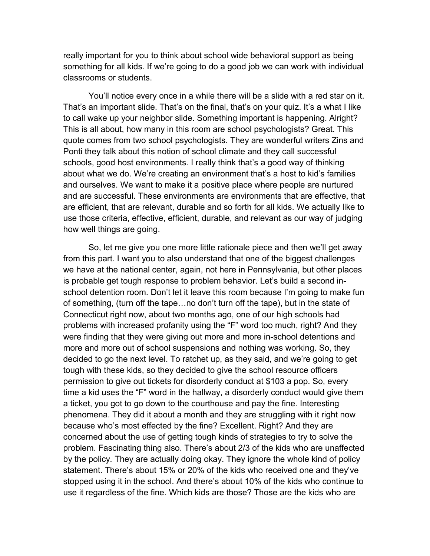really important for you to think about school wide behavioral support as being something for all kids. If we're going to do a good job we can work with individual classrooms or students.

You'll notice every once in a while there will be a slide with a red star on it. That's an important slide. That's on the final, that's on your quiz. It's a what I like to call wake up your neighbor slide. Something important is happening. Alright? This is all about, how many in this room are school psychologists? Great. This quote comes from two school psychologists. They are wonderful writers Zins and Ponti they talk about this notion of school climate and they call successful schools, good host environments. I really think that's a good way of thinking about what we do. We're creating an environment that's a host to kid's families and ourselves. We want to make it a positive place where people are nurtured and are successful. These environments are environments that are effective, that are efficient, that are relevant, durable and so forth for all kids. We actually like to use those criteria, effective, efficient, durable, and relevant as our way of judging how well things are going.

So, let me give you one more little rationale piece and then we'll get away from this part. I want you to also understand that one of the biggest challenges we have at the national center, again, not here in Pennsylvania, but other places is probable get tough response to problem behavior. Let's build a second inschool detention room. Don't let it leave this room because I'm going to make fun of something, (turn off the tape…no don't turn off the tape), but in the state of Connecticut right now, about two months ago, one of our high schools had problems with increased profanity using the "F" word too much, right? And they were finding that they were giving out more and more in-school detentions and more and more out of school suspensions and nothing was working. So, they decided to go the next level. To ratchet up, as they said, and we're going to get tough with these kids, so they decided to give the school resource officers permission to give out tickets for disorderly conduct at \$103 a pop. So, every time a kid uses the "F" word in the hallway, a disorderly conduct would give them a ticket, you got to go down to the courthouse and pay the fine. Interesting phenomena. They did it about a month and they are struggling with it right now because who's most effected by the fine? Excellent. Right? And they are concerned about the use of getting tough kinds of strategies to try to solve the problem. Fascinating thing also. There's about 2/3 of the kids who are unaffected by the policy. They are actually doing okay. They ignore the whole kind of policy statement. There's about 15% or 20% of the kids who received one and they've stopped using it in the school. And there's about 10% of the kids who continue to use it regardless of the fine. Which kids are those? Those are the kids who are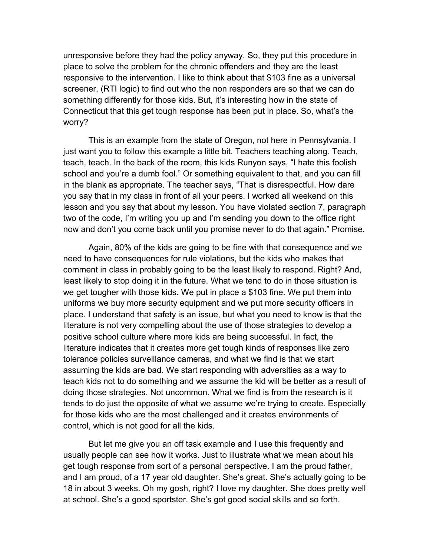unresponsive before they had the policy anyway. So, they put this procedure in place to solve the problem for the chronic offenders and they are the least responsive to the intervention. I like to think about that \$103 fine as a universal screener, (RTI logic) to find out who the non responders are so that we can do something differently for those kids. But, it's interesting how in the state of Connecticut that this get tough response has been put in place. So, what's the worry?

This is an example from the state of Oregon, not here in Pennsylvania. I just want you to follow this example a little bit. Teachers teaching along. Teach, teach, teach. In the back of the room, this kids Runyon says, "I hate this foolish school and you're a dumb fool." Or something equivalent to that, and you can fill in the blank as appropriate. The teacher says, "That is disrespectful. How dare you say that in my class in front of all your peers. I worked all weekend on this lesson and you say that about my lesson. You have violated section 7, paragraph two of the code, I'm writing you up and I'm sending you down to the office right now and don't you come back until you promise never to do that again." Promise.

Again, 80% of the kids are going to be fine with that consequence and we need to have consequences for rule violations, but the kids who makes that comment in class in probably going to be the least likely to respond. Right? And, least likely to stop doing it in the future. What we tend to do in those situation is we get tougher with those kids. We put in place a \$103 fine. We put them into uniforms we buy more security equipment and we put more security officers in place. I understand that safety is an issue, but what you need to know is that the literature is not very compelling about the use of those strategies to develop a positive school culture where more kids are being successful. In fact, the literature indicates that it creates more get tough kinds of responses like zero tolerance policies surveillance cameras, and what we find is that we start assuming the kids are bad. We start responding with adversities as a way to teach kids not to do something and we assume the kid will be better as a result of doing those strategies. Not uncommon. What we find is from the research is it tends to do just the opposite of what we assume we're trying to create. Especially for those kids who are the most challenged and it creates environments of control, which is not good for all the kids.

But let me give you an off task example and I use this frequently and usually people can see how it works. Just to illustrate what we mean about his get tough response from sort of a personal perspective. I am the proud father, and I am proud, of a 17 year old daughter. She's great. She's actually going to be 18 in about 3 weeks. Oh my gosh, right? I love my daughter. She does pretty well at school. She's a good sportster. She's got good social skills and so forth.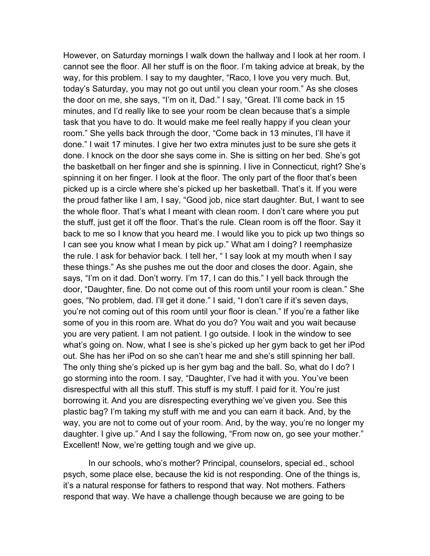However, on Saturday mornings I walk down the hallway and I look at her room. I cannot see the floor. All her stuff is on the floor. I'm taking advice at break, by the way, for this problem. I say to my daughter, "Raco, I love you very much. But, today's Saturday, you may not go out until you clean your room." As she closes the door on me, she says, "I'm on it, Dad." I say, "Great. I'll come back in 15 minutes, and I'd really like to see your room be clean because that's a simple task that you have to do. It would make me feel really happy if you clean your room." She yells back through the door, "Come back in 13 minutes, I'll have it done." I wait 17 minutes. I give her two extra minutes just to be sure she gets it done. I knock on the door she says come in. She is sitting on her bed. She's got the basketball on her finger and she is spinning. I live in Connecticut, right? She's spinning it on her finger. I look at the floor. The only part of the floor that's been picked up is a circle where she's picked up her basketball. That's it. If you were the proud father like I am, I say, "Good job, nice start daughter. But, I want to see the whole floor. That's what I meant with clean room. I don't care where you put the stuff, just get it off the floor. That's the rule. Clean room is off the floor. Say it back to me so I know that you heard me. I would like you to pick up two things so I can see you know what I mean by pick up." What am I doing? I reemphasize the rule. I ask for behavior back. I tell her, " I say look at my mouth when I say these things." As she pushes me out the door and closes the door. Again, she says, "I'm on it dad. Don't worry. I'm 17, I can do this." I yell back through the door, "Daughter, fine. Do not come out of this room until your room is clean." She goes, "No problem, dad. I'll get it done." I said, "I don't care if it's seven days, you're not coming out of this room until your floor is clean." If you're a father like some of you in this room are. What do you do? You wait and you wait because you are very patient. I am not patient. I go outside. I look in the window to see what's going on. Now, what I see is she's picked up her gym back to get her iPod out. She has her iPod on so she can't hear me and she's still spinning her ball. The only thing she's picked up is her gym bag and the ball. So, what do I do? I go storming into the room. I say, "Daughter, I've had it with you. You've been disrespectful with all this stuff. This stuff is my stuff. I paid for it. You're just borrowing it. And you are disrespecting everything we've given you. See this plastic bag? I'm taking my stuff with me and you can earn it back. And, by the way, you are not to come out of your room. And, by the way, you're no longer my daughter. I give up." And I say the following, "From now on, go see your mother." Excellent! Now, we're getting tough and we give up.

In our schools, who's mother? Principal, counselors, special ed., school psych, some place else, because the kid is not responding. One of the things is, it's a natural response for fathers to respond that way. Not mothers. Fathers respond that way. We have a challenge though because we are going to be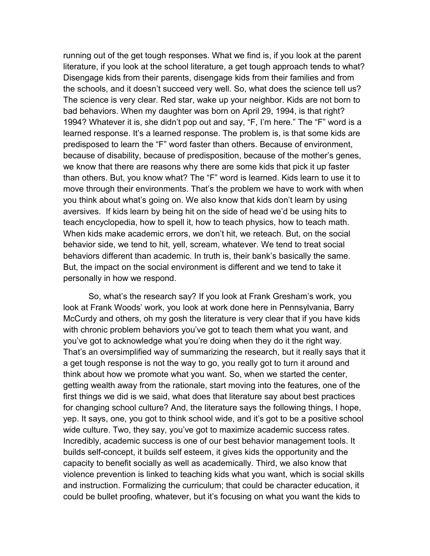running out of the get tough responses. What we find is, if you look at the parent literature, if you look at the school literature, a get tough approach tends to what? Disengage kids from their parents, disengage kids from their families and from the schools, and it doesn't succeed very well. So, what does the science tell us? The science is very clear. Red star, wake up your neighbor. Kids are not born to bad behaviors. When my daughter was born on April 29, 1994, is that right? 1994? Whatever it is, she didn't pop out and say, "F, I'm here." The "F" word is a learned response. It's a learned response. The problem is, is that some kids are predisposed to learn the "F" word faster than others. Because of environment, because of disability, because of predisposition, because of the mother's genes, we know that there are reasons why there are some kids that pick it up faster than others. But, you know what? The "F" word is learned. Kids learn to use it to move through their environments. That's the problem we have to work with when you think about what's going on. We also know that kids don't learn by using aversives. If kids learn by being hit on the side of head we'd be using hits to teach encyclopedia, how to spell it, how to teach physics, how to teach math. When kids make academic errors, we don't hit, we reteach. But, on the social behavior side, we tend to hit, yell, scream, whatever. We tend to treat social behaviors different than academic. In truth is, their bank's basically the same. But, the impact on the social environment is different and we tend to take it personally in how we respond.

So, what's the research say? If you look at Frank Gresham's work, you look at Frank Woods' work, you look at work done here in Pennsylvania, Barry McCurdy and others, oh my gosh the literature is very clear that if you have kids with chronic problem behaviors you've got to teach them what you want, and you've got to acknowledge what you're doing when they do it the right way. That's an oversimplified way of summarizing the research, but it really says that it a get tough response is not the way to go, you really got to turn it around and think about how we promote what you want. So, when we started the center, getting wealth away from the rationale, start moving into the features, one of the first things we did is we said, what does that literature say about best practices for changing school culture? And, the literature says the following things, I hope, yep. It says, one, you got to think school wide, and it's got to be a positive school wide culture. Two, they say, you've got to maximize academic success rates. Incredibly, academic success is one of our best behavior management tools. It builds self-concept, it builds self esteem, it gives kids the opportunity and the capacity to benefit socially as well as academically. Third, we also know that violence prevention is linked to teaching kids what you want, which is social skills and instruction. Formalizing the curriculum; that could be character education, it could be bullet proofing, whatever, but it's focusing on what you want the kids to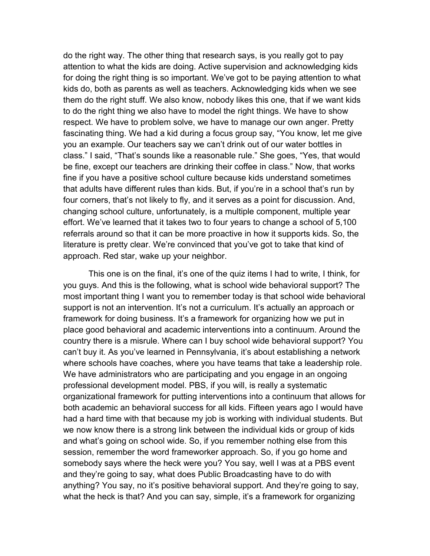do the right way. The other thing that research says, is you really got to pay attention to what the kids are doing. Active supervision and acknowledging kids for doing the right thing is so important. We've got to be paying attention to what kids do, both as parents as well as teachers. Acknowledging kids when we see them do the right stuff. We also know, nobody likes this one, that if we want kids to do the right thing we also have to model the right things. We have to show respect. We have to problem solve, we have to manage our own anger. Pretty fascinating thing. We had a kid during a focus group say, "You know, let me give you an example. Our teachers say we can't drink out of our water bottles in class." I said, "That's sounds like a reasonable rule." She goes, "Yes, that would be fine, except our teachers are drinking their coffee in class." Now, that works fine if you have a positive school culture because kids understand sometimes that adults have different rules than kids. But, if you're in a school that's run by four corners, that's not likely to fly, and it serves as a point for discussion. And, changing school culture, unfortunately, is a multiple component, multiple year effort. We've learned that it takes two to four years to change a school of 5,100 referrals around so that it can be more proactive in how it supports kids. So, the literature is pretty clear. We're convinced that you've got to take that kind of approach. Red star, wake up your neighbor.

This one is on the final, it's one of the quiz items I had to write, I think, for you guys. And this is the following, what is school wide behavioral support? The most important thing I want you to remember today is that school wide behavioral support is not an intervention. It's not a curriculum. It's actually an approach or framework for doing business. It's a framework for organizing how we put in place good behavioral and academic interventions into a continuum. Around the country there is a misrule. Where can I buy school wide behavioral support? You can't buy it. As you've learned in Pennsylvania, it's about establishing a network where schools have coaches, where you have teams that take a leadership role. We have administrators who are participating and you engage in an ongoing professional development model. PBS, if you will, is really a systematic organizational framework for putting interventions into a continuum that allows for both academic an behavioral success for all kids. Fifteen years ago I would have had a hard time with that because my job is working with individual students. But we now know there is a strong link between the individual kids or group of kids and what's going on school wide. So, if you remember nothing else from this session, remember the word frameworker approach. So, if you go home and somebody says where the heck were you? You say, well I was at a PBS event and they're going to say, what does Public Broadcasting have to do with anything? You say, no it's positive behavioral support. And they're going to say, what the heck is that? And you can say, simple, it's a framework for organizing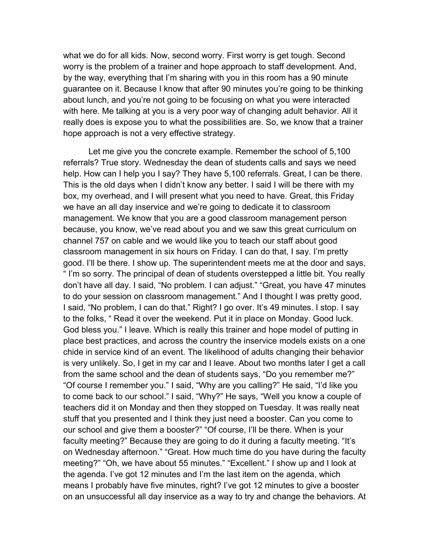what we do for all kids. Now, second worry. First worry is get tough. Second worry is the problem of a trainer and hope approach to staff development. And, by the way, everything that I'm sharing with you in this room has a 90 minute guarantee on it. Because I know that after 90 minutes you're going to be thinking about lunch, and you're not going to be focusing on what you were interacted with here. Me talking at you is a very poor way of changing adult behavior. All it really does is expose you to what the possibilities are. So, we know that a trainer hope approach is not a very effective strategy.

Let me give you the concrete example. Remember the school of 5,100 referrals? True story. Wednesday the dean of students calls and says we need help. How can I help you I say? They have 5,100 referrals. Great, I can be there. This is the old days when I didn't know any better. I said I will be there with my box, my overhead, and I will present what you need to have. Great, this Friday we have an all day inservice and we're going to dedicate it to classroom management. We know that you are a good classroom management person because, you know, we've read about you and we saw this great curriculum on channel 757 on cable and we would like you to teach our staff about good classroom management in six hours on Friday. I can do that, I say. I'm pretty good. I'll be there. I show up. The superintendent meets me at the door and says, " I'm so sorry. The principal of dean of students overstepped a little bit. You really don't have all day. I said, "No problem. I can adjust." "Great, you have 47 minutes to do your session on classroom management." And I thought I was pretty good, I said, "No problem, I can do that." Right? I go over. It's 49 minutes. I stop. I say to the folks, " Read it over the weekend. Put it in place on Monday. Good luck. God bless you." I leave. Which is really this trainer and hope model of putting in place best practices, and across the country the inservice models exists on a one chide in service kind of an event. The likelihood of adults changing their behavior is very unlikely. So, I get in my car and I leave. About two months later I get a call from the same school and the dean of students says, "Do you remember me?" "Of course I remember you." I said, "Why are you calling?" He said, "I'd like you to come back to our school." I said, "Why?" He says, "Well you know a couple of teachers did it on Monday and then they stopped on Tuesday. It was really neat stuff that you presented and I think they just need a booster. Can you come to our school and give them a booster?" "Of course, I'll be there. When is your faculty meeting?" Because they are going to do it during a faculty meeting. "It's on Wednesday afternoon." "Great. How much time do you have during the faculty meeting?" "Oh, we have about 55 minutes." "Excellent." I show up and I look at the agenda. I've got 12 minutes and I'm the last item on the agenda, which means I probably have five minutes, right? I've got 12 minutes to give a booster on an unsuccessful all day inservice as a way to try and change the behaviors. At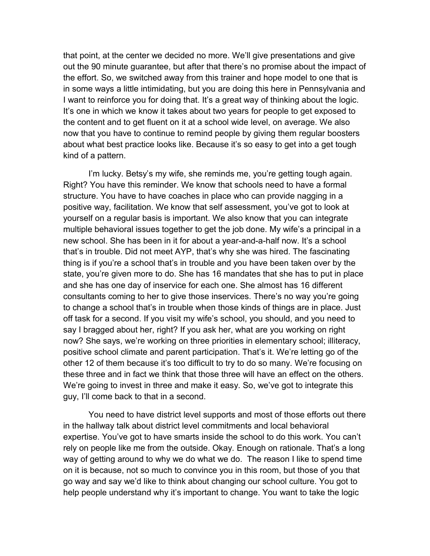that point, at the center we decided no more. We'll give presentations and give out the 90 minute guarantee, but after that there's no promise about the impact of the effort. So, we switched away from this trainer and hope model to one that is in some ways a little intimidating, but you are doing this here in Pennsylvania and I want to reinforce you for doing that. It's a great way of thinking about the logic. It's one in which we know it takes about two years for people to get exposed to the content and to get fluent on it at a school wide level, on average. We also now that you have to continue to remind people by giving them regular boosters about what best practice looks like. Because it's so easy to get into a get tough kind of a pattern.

I'm lucky. Betsy's my wife, she reminds me, you're getting tough again. Right? You have this reminder. We know that schools need to have a formal structure. You have to have coaches in place who can provide nagging in a positive way, facilitation. We know that self assessment, you've got to look at yourself on a regular basis is important. We also know that you can integrate multiple behavioral issues together to get the job done. My wife's a principal in a new school. She has been in it for about a year-and-a-half now. It's a school that's in trouble. Did not meet AYP, that's why she was hired. The fascinating thing is if you're a school that's in trouble and you have been taken over by the state, you're given more to do. She has 16 mandates that she has to put in place and she has one day of inservice for each one. She almost has 16 different consultants coming to her to give those inservices. There's no way you're going to change a school that's in trouble when those kinds of things are in place. Just off task for a second. If you visit my wife's school, you should, and you need to say I bragged about her, right? If you ask her, what are you working on right now? She says, we're working on three priorities in elementary school; illiteracy, positive school climate and parent participation. That's it. We're letting go of the other 12 of them because it's too difficult to try to do so many. We're focusing on these three and in fact we think that those three will have an effect on the others. We're going to invest in three and make it easy. So, we've got to integrate this guy, I'll come back to that in a second.

You need to have district level supports and most of those efforts out there in the hallway talk about district level commitments and local behavioral expertise. You've got to have smarts inside the school to do this work. You can't rely on people like me from the outside. Okay. Enough on rationale. That's a long way of getting around to why we do what we do. The reason I like to spend time on it is because, not so much to convince you in this room, but those of you that go way and say we'd like to think about changing our school culture. You got to help people understand why it's important to change. You want to take the logic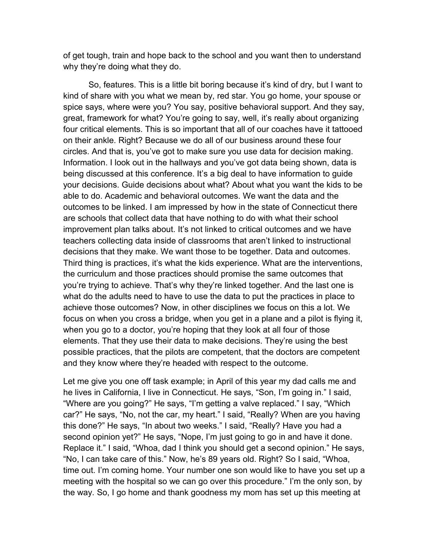of get tough, train and hope back to the school and you want then to understand why they're doing what they do.

So, features. This is a little bit boring because it's kind of dry, but I want to kind of share with you what we mean by, red star. You go home, your spouse or spice says, where were you? You say, positive behavioral support. And they say, great, framework for what? You're going to say, well, it's really about organizing four critical elements. This is so important that all of our coaches have it tattooed on their ankle. Right? Because we do all of our business around these four circles. And that is, you've got to make sure you use data for decision making. Information. I look out in the hallways and you've got data being shown, data is being discussed at this conference. It's a big deal to have information to guide your decisions. Guide decisions about what? About what you want the kids to be able to do. Academic and behavioral outcomes. We want the data and the outcomes to be linked. I am impressed by how in the state of Connecticut there are schools that collect data that have nothing to do with what their school improvement plan talks about. It's not linked to critical outcomes and we have teachers collecting data inside of classrooms that aren't linked to instructional decisions that they make. We want those to be together. Data and outcomes. Third thing is practices, it's what the kids experience. What are the interventions, the curriculum and those practices should promise the same outcomes that you're trying to achieve. That's why they're linked together. And the last one is what do the adults need to have to use the data to put the practices in place to achieve those outcomes? Now, in other disciplines we focus on this a lot. We focus on when you cross a bridge, when you get in a plane and a pilot is flying it, when you go to a doctor, you're hoping that they look at all four of those elements. That they use their data to make decisions. They're using the best possible practices, that the pilots are competent, that the doctors are competent and they know where they're headed with respect to the outcome.

Let me give you one off task example; in April of this year my dad calls me and he lives in California, I live in Connecticut. He says, "Son, I'm going in." I said, "Where are you going?" He says, "I'm getting a valve replaced." I say, "Which car?" He says, "No, not the car, my heart." I said, "Really? When are you having this done?" He says, "In about two weeks." I said, "Really? Have you had a second opinion yet?" He says, "Nope, I'm just going to go in and have it done. Replace it." I said, "Whoa, dad I think you should get a second opinion." He says, "No, I can take care of this." Now, he's 89 years old. Right? So I said, "Whoa, time out. I'm coming home. Your number one son would like to have you set up a meeting with the hospital so we can go over this procedure." I'm the only son, by the way. So, I go home and thank goodness my mom has set up this meeting at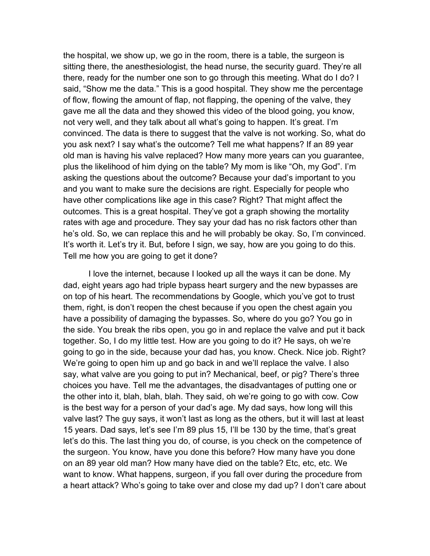the hospital, we show up, we go in the room, there is a table, the surgeon is sitting there, the anesthesiologist, the head nurse, the security guard. They're all there, ready for the number one son to go through this meeting. What do I do? I said, "Show me the data." This is a good hospital. They show me the percentage of flow, flowing the amount of flap, not flapping, the opening of the valve, they gave me all the data and they showed this video of the blood going, you know, not very well, and they talk about all what's going to happen. It's great. I'm convinced. The data is there to suggest that the valve is not working. So, what do you ask next? I say what's the outcome? Tell me what happens? If an 89 year old man is having his valve replaced? How many more years can you guarantee, plus the likelihood of him dying on the table? My mom is like "Oh, my God". I'm asking the questions about the outcome? Because your dad's important to you and you want to make sure the decisions are right. Especially for people who have other complications like age in this case? Right? That might affect the outcomes. This is a great hospital. They've got a graph showing the mortality rates with age and procedure. They say your dad has no risk factors other than he's old. So, we can replace this and he will probably be okay. So, I'm convinced. It's worth it. Let's try it. But, before I sign, we say, how are you going to do this. Tell me how you are going to get it done?

I love the internet, because I looked up all the ways it can be done. My dad, eight years ago had triple bypass heart surgery and the new bypasses are on top of his heart. The recommendations by Google, which you've got to trust them, right, is don't reopen the chest because if you open the chest again you have a possibility of damaging the bypasses. So, where do you go? You go in the side. You break the ribs open, you go in and replace the valve and put it back together. So, I do my little test. How are you going to do it? He says, oh we're going to go in the side, because your dad has, you know. Check. Nice job. Right? We're going to open him up and go back in and we'll replace the valve. I also say, what valve are you going to put in? Mechanical, beef, or pig? There's three choices you have. Tell me the advantages, the disadvantages of putting one or the other into it, blah, blah, blah. They said, oh we're going to go with cow. Cow is the best way for a person of your dad's age. My dad says, how long will this valve last? The guy says, it won't last as long as the others, but it will last at least 15 years. Dad says, let's see I'm 89 plus 15, I'll be 130 by the time, that's great let's do this. The last thing you do, of course, is you check on the competence of the surgeon. You know, have you done this before? How many have you done on an 89 year old man? How many have died on the table? Etc, etc, etc. We want to know. What happens, surgeon, if you fall over during the procedure from a heart attack? Who's going to take over and close my dad up? I don't care about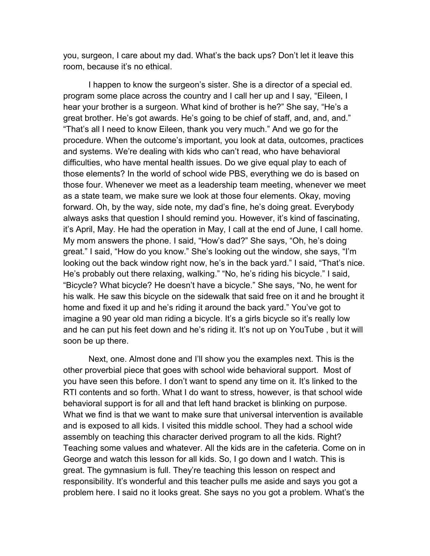you, surgeon, I care about my dad. What's the back ups? Don't let it leave this room, because it's no ethical.

I happen to know the surgeon's sister. She is a director of a special ed. program some place across the country and I call her up and I say, "Eileen, I hear your brother is a surgeon. What kind of brother is he?" She say, "He's a great brother. He's got awards. He's going to be chief of staff, and, and, and." "That's all I need to know Eileen, thank you very much." And we go for the procedure. When the outcome's important, you look at data, outcomes, practices and systems. We're dealing with kids who can't read, who have behavioral difficulties, who have mental health issues. Do we give equal play to each of those elements? In the world of school wide PBS, everything we do is based on those four. Whenever we meet as a leadership team meeting, whenever we meet as a state team, we make sure we look at those four elements. Okay, moving forward. Oh, by the way, side note, my dad's fine, he's doing great. Everybody always asks that question I should remind you. However, it's kind of fascinating, it's April, May. He had the operation in May, I call at the end of June, I call home. My mom answers the phone. I said, "How's dad?" She says, "Oh, he's doing great." I said, "How do you know." She's looking out the window, she says, "I'm looking out the back window right now, he's in the back yard." I said, "That's nice. He's probably out there relaxing, walking." "No, he's riding his bicycle." I said, "Bicycle? What bicycle? He doesn't have a bicycle." She says, "No, he went for his walk. He saw this bicycle on the sidewalk that said free on it and he brought it home and fixed it up and he's riding it around the back yard." You've got to imagine a 90 year old man riding a bicycle. It's a girls bicycle so it's really low and he can put his feet down and he's riding it. It's not up on YouTube , but it will soon be up there.

Next, one. Almost done and I'll show you the examples next. This is the other proverbial piece that goes with school wide behavioral support. Most of you have seen this before. I don't want to spend any time on it. It's linked to the RTI contents and so forth. What I do want to stress, however, is that school wide behavioral support is for all and that left hand bracket is blinking on purpose. What we find is that we want to make sure that universal intervention is available and is exposed to all kids. I visited this middle school. They had a school wide assembly on teaching this character derived program to all the kids. Right? Teaching some values and whatever. All the kids are in the cafeteria. Come on in George and watch this lesson for all kids. So, I go down and I watch. This is great. The gymnasium is full. They're teaching this lesson on respect and responsibility. It's wonderful and this teacher pulls me aside and says you got a problem here. I said no it looks great. She says no you got a problem. What's the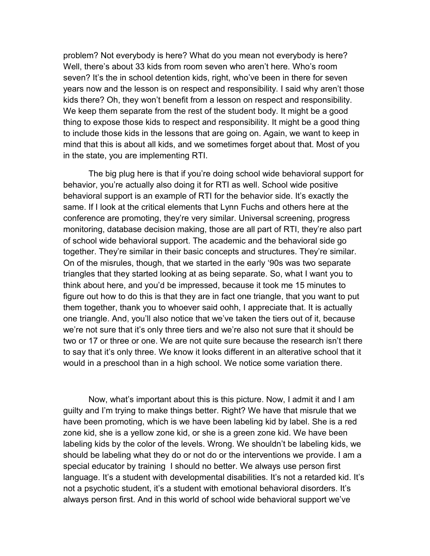problem? Not everybody is here? What do you mean not everybody is here? Well, there's about 33 kids from room seven who aren't here. Who's room seven? It's the in school detention kids, right, who've been in there for seven years now and the lesson is on respect and responsibility. I said why aren't those kids there? Oh, they won't benefit from a lesson on respect and responsibility. We keep them separate from the rest of the student body. It might be a good thing to expose those kids to respect and responsibility. It might be a good thing to include those kids in the lessons that are going on. Again, we want to keep in mind that this is about all kids, and we sometimes forget about that. Most of you in the state, you are implementing RTI.

The big plug here is that if you're doing school wide behavioral support for behavior, you're actually also doing it for RTI as well. School wide positive behavioral support is an example of RTI for the behavior side. It's exactly the same. If I look at the critical elements that Lynn Fuchs and others here at the conference are promoting, they're very similar. Universal screening, progress monitoring, database decision making, those are all part of RTI, they're also part of school wide behavioral support. The academic and the behavioral side go together. They're similar in their basic concepts and structures. They're similar. On of the misrules, though, that we started in the early '90s was two separate triangles that they started looking at as being separate. So, what I want you to think about here, and you'd be impressed, because it took me 15 minutes to figure out how to do this is that they are in fact one triangle, that you want to put them together, thank you to whoever said oohh, I appreciate that. It is actually one triangle. And, you'll also notice that we've taken the tiers out of it, because we're not sure that it's only three tiers and we're also not sure that it should be two or 17 or three or one. We are not quite sure because the research isn't there to say that it's only three. We know it looks different in an alterative school that it would in a preschool than in a high school. We notice some variation there.

Now, what's important about this is this picture. Now, I admit it and I am guilty and I'm trying to make things better. Right? We have that misrule that we have been promoting, which is we have been labeling kid by label. She is a red zone kid, she is a yellow zone kid, or she is a green zone kid. We have been labeling kids by the color of the levels. Wrong. We shouldn't be labeling kids, we should be labeling what they do or not do or the interventions we provide. I am a special educator by training I should no better. We always use person first language. It's a student with developmental disabilities. It's not a retarded kid. It's not a psychotic student, it's a student with emotional behavioral disorders. It's always person first. And in this world of school wide behavioral support we've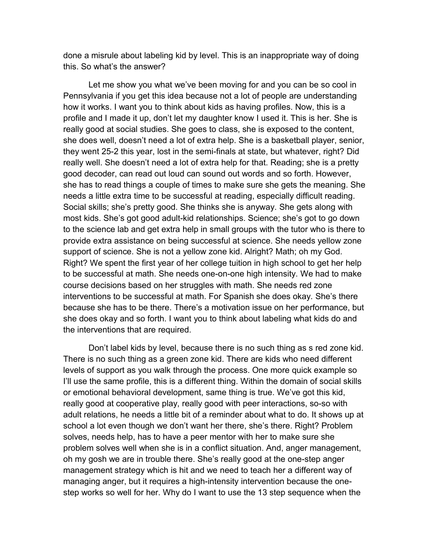done a misrule about labeling kid by level. This is an inappropriate way of doing this. So what's the answer?

Let me show you what we've been moving for and you can be so cool in Pennsylvania if you get this idea because not a lot of people are understanding how it works. I want you to think about kids as having profiles. Now, this is a profile and I made it up, don't let my daughter know I used it. This is her. She is really good at social studies. She goes to class, she is exposed to the content, she does well, doesn't need a lot of extra help. She is a basketball player, senior, they went 25-2 this year, lost in the semi-finals at state, but whatever, right? Did really well. She doesn't need a lot of extra help for that. Reading; she is a pretty good decoder, can read out loud can sound out words and so forth. However, she has to read things a couple of times to make sure she gets the meaning. She needs a little extra time to be successful at reading, especially difficult reading. Social skills; she's pretty good. She thinks she is anyway. She gets along with most kids. She's got good adult-kid relationships. Science; she's got to go down to the science lab and get extra help in small groups with the tutor who is there to provide extra assistance on being successful at science. She needs yellow zone support of science. She is not a yellow zone kid. Alright? Math; oh my God. Right? We spent the first year of her college tuition in high school to get her help to be successful at math. She needs one-on-one high intensity. We had to make course decisions based on her struggles with math. She needs red zone interventions to be successful at math. For Spanish she does okay. She's there because she has to be there. There's a motivation issue on her performance, but she does okay and so forth. I want you to think about labeling what kids do and the interventions that are required.

Don't label kids by level, because there is no such thing as s red zone kid. There is no such thing as a green zone kid. There are kids who need different levels of support as you walk through the process. One more quick example so I'll use the same profile, this is a different thing. Within the domain of social skills or emotional behavioral development, same thing is true. We've got this kid, really good at cooperative play, really good with peer interactions, so-so with adult relations, he needs a little bit of a reminder about what to do. It shows up at school a lot even though we don't want her there, she's there. Right? Problem solves, needs help, has to have a peer mentor with her to make sure she problem solves well when she is in a conflict situation. And, anger management, oh my gosh we are in trouble there. She's really good at the one-step anger management strategy which is hit and we need to teach her a different way of managing anger, but it requires a high-intensity intervention because the onestep works so well for her. Why do I want to use the 13 step sequence when the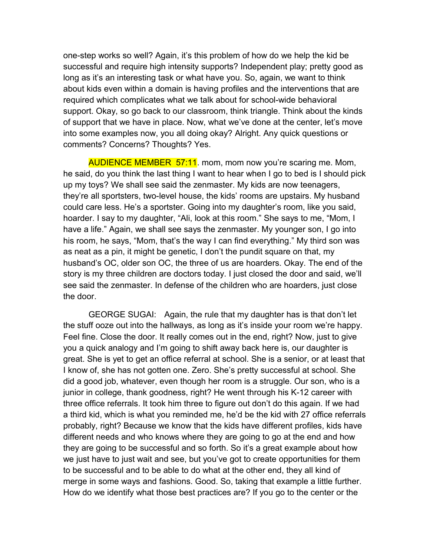one-step works so well? Again, it's this problem of how do we help the kid be successful and require high intensity supports? Independent play; pretty good as long as it's an interesting task or what have you. So, again, we want to think about kids even within a domain is having profiles and the interventions that are required which complicates what we talk about for school-wide behavioral support. Okay, so go back to our classroom, think triangle. Think about the kinds of support that we have in place. Now, what we've done at the center, let's move into some examples now, you all doing okay? Alright. Any quick questions or comments? Concerns? Thoughts? Yes.

AUDIENCE MEMBER 57:11. mom, mom now you're scaring me. Mom, he said, do you think the last thing I want to hear when I go to bed is I should pick up my toys? We shall see said the zenmaster. My kids are now teenagers, they're all sportsters, two-level house, the kids' rooms are upstairs. My husband could care less. He's a sportster. Going into my daughter's room, like you said, hoarder. I say to my daughter, "Ali, look at this room." She says to me, "Mom, I have a life." Again, we shall see says the zenmaster. My younger son, I go into his room, he says, "Mom, that's the way I can find everything." My third son was as neat as a pin, it might be genetic, I don't the pundit square on that, my husband's OC, older son OC, the three of us are hoarders. Okay. The end of the story is my three children are doctors today. I just closed the door and said, we'll see said the zenmaster. In defense of the children who are hoarders, just close the door.

GEORGE SUGAI: Again, the rule that my daughter has is that don't let the stuff ooze out into the hallways, as long as it's inside your room we're happy. Feel fine. Close the door. It really comes out in the end, right? Now, just to give you a quick analogy and I'm going to shift away back here is, our daughter is great. She is yet to get an office referral at school. She is a senior, or at least that I know of, she has not gotten one. Zero. She's pretty successful at school. She did a good job, whatever, even though her room is a struggle. Our son, who is a junior in college, thank goodness, right? He went through his K-12 career with three office referrals. It took him three to figure out don't do this again. If we had a third kid, which is what you reminded me, he'd be the kid with 27 office referrals probably, right? Because we know that the kids have different profiles, kids have different needs and who knows where they are going to go at the end and how they are going to be successful and so forth. So it's a great example about how we just have to just wait and see, but you've got to create opportunities for them to be successful and to be able to do what at the other end, they all kind of merge in some ways and fashions. Good. So, taking that example a little further. How do we identify what those best practices are? If you go to the center or the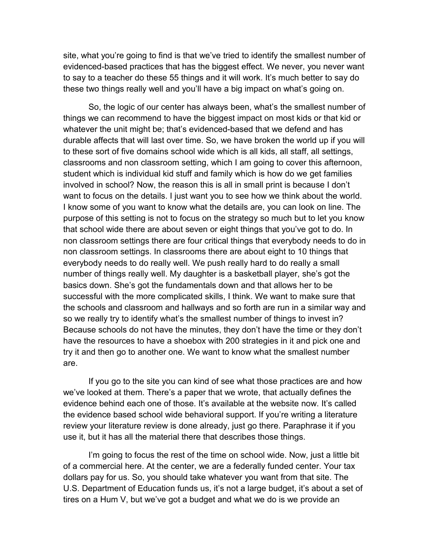site, what you're going to find is that we've tried to identify the smallest number of evidenced-based practices that has the biggest effect. We never, you never want to say to a teacher do these 55 things and it will work. It's much better to say do these two things really well and you'll have a big impact on what's going on.

So, the logic of our center has always been, what's the smallest number of things we can recommend to have the biggest impact on most kids or that kid or whatever the unit might be; that's evidenced-based that we defend and has durable affects that will last over time. So, we have broken the world up if you will to these sort of five domains school wide which is all kids, all staff, all settings, classrooms and non classroom setting, which I am going to cover this afternoon, student which is individual kid stuff and family which is how do we get families involved in school? Now, the reason this is all in small print is because I don't want to focus on the details. I just want you to see how we think about the world. I know some of you want to know what the details are, you can look on line. The purpose of this setting is not to focus on the strategy so much but to let you know that school wide there are about seven or eight things that you've got to do. In non classroom settings there are four critical things that everybody needs to do in non classroom settings. In classrooms there are about eight to 10 things that everybody needs to do really well. We push really hard to do really a small number of things really well. My daughter is a basketball player, she's got the basics down. She's got the fundamentals down and that allows her to be successful with the more complicated skills, I think. We want to make sure that the schools and classroom and hallways and so forth are run in a similar way and so we really try to identify what's the smallest number of things to invest in? Because schools do not have the minutes, they don't have the time or they don't have the resources to have a shoebox with 200 strategies in it and pick one and try it and then go to another one. We want to know what the smallest number are.

If you go to the site you can kind of see what those practices are and how we've looked at them. There's a paper that we wrote, that actually defines the evidence behind each one of those. It's available at the website now. It's called the evidence based school wide behavioral support. If you're writing a literature review your literature review is done already, just go there. Paraphrase it if you use it, but it has all the material there that describes those things.

I'm going to focus the rest of the time on school wide. Now, just a little bit of a commercial here. At the center, we are a federally funded center. Your tax dollars pay for us. So, you should take whatever you want from that site. The U.S. Department of Education funds us, it's not a large budget, it's about a set of tires on a Hum V, but we've got a budget and what we do is we provide an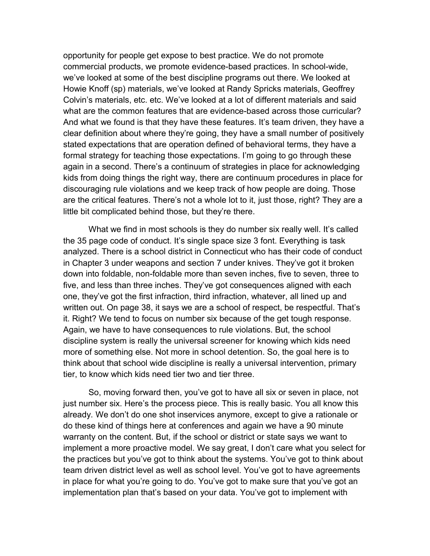opportunity for people get expose to best practice. We do not promote commercial products, we promote evidence-based practices. In school-wide, we've looked at some of the best discipline programs out there. We looked at Howie Knoff (sp) materials, we've looked at Randy Spricks materials, Geoffrey Colvin's materials, etc. etc. We've looked at a lot of different materials and said what are the common features that are evidence-based across those curricular? And what we found is that they have these features. It's team driven, they have a clear definition about where they're going, they have a small number of positively stated expectations that are operation defined of behavioral terms, they have a formal strategy for teaching those expectations. I'm going to go through these again in a second. There's a continuum of strategies in place for acknowledging kids from doing things the right way, there are continuum procedures in place for discouraging rule violations and we keep track of how people are doing. Those are the critical features. There's not a whole lot to it, just those, right? They are a little bit complicated behind those, but they're there.

What we find in most schools is they do number six really well. It's called the 35 page code of conduct. It's single space size 3 font. Everything is task analyzed. There is a school district in Connecticut who has their code of conduct in Chapter 3 under weapons and section 7 under knives. They've got it broken down into foldable, non-foldable more than seven inches, five to seven, three to five, and less than three inches. They've got consequences aligned with each one, they've got the first infraction, third infraction, whatever, all lined up and written out. On page 38, it says we are a school of respect, be respectful. That's it. Right? We tend to focus on number six because of the get tough response. Again, we have to have consequences to rule violations. But, the school discipline system is really the universal screener for knowing which kids need more of something else. Not more in school detention. So, the goal here is to think about that school wide discipline is really a universal intervention, primary tier, to know which kids need tier two and tier three.

So, moving forward then, you've got to have all six or seven in place, not just number six. Here's the process piece. This is really basic. You all know this already. We don't do one shot inservices anymore, except to give a rationale or do these kind of things here at conferences and again we have a 90 minute warranty on the content. But, if the school or district or state says we want to implement a more proactive model. We say great, I don't care what you select for the practices but you've got to think about the systems. You've got to think about team driven district level as well as school level. You've got to have agreements in place for what you're going to do. You've got to make sure that you've got an implementation plan that's based on your data. You've got to implement with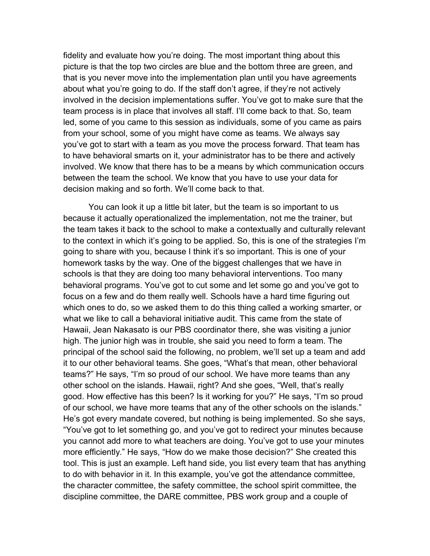fidelity and evaluate how you're doing. The most important thing about this picture is that the top two circles are blue and the bottom three are green, and that is you never move into the implementation plan until you have agreements about what you're going to do. If the staff don't agree, if they're not actively involved in the decision implementations suffer. You've got to make sure that the team process is in place that involves all staff. I'll come back to that. So, team led, some of you came to this session as individuals, some of you came as pairs from your school, some of you might have come as teams. We always say you've got to start with a team as you move the process forward. That team has to have behavioral smarts on it, your administrator has to be there and actively involved. We know that there has to be a means by which communication occurs between the team the school. We know that you have to use your data for decision making and so forth. We'll come back to that.

You can look it up a little bit later, but the team is so important to us because it actually operationalized the implementation, not me the trainer, but the team takes it back to the school to make a contextually and culturally relevant to the context in which it's going to be applied. So, this is one of the strategies I'm going to share with you, because I think it's so important. This is one of your homework tasks by the way. One of the biggest challenges that we have in schools is that they are doing too many behavioral interventions. Too many behavioral programs. You've got to cut some and let some go and you've got to focus on a few and do them really well. Schools have a hard time figuring out which ones to do, so we asked them to do this thing called a working smarter, or what we like to call a behavioral initiative audit. This came from the state of Hawaii, Jean Nakasato is our PBS coordinator there, she was visiting a junior high. The junior high was in trouble, she said you need to form a team. The principal of the school said the following, no problem, we'll set up a team and add it to our other behavioral teams. She goes, "What's that mean, other behavioral teams?" He says, "I'm so proud of our school. We have more teams than any other school on the islands. Hawaii, right? And she goes, "Well, that's really good. How effective has this been? Is it working for you?" He says, "I'm so proud of our school, we have more teams that any of the other schools on the islands." He's got every mandate covered, but nothing is being implemented. So she says, "You've got to let something go, and you've got to redirect your minutes because you cannot add more to what teachers are doing. You've got to use your minutes more efficiently." He says, "How do we make those decision?" She created this tool. This is just an example. Left hand side, you list every team that has anything to do with behavior in it. In this example, you've got the attendance committee, the character committee, the safety committee, the school spirit committee, the discipline committee, the DARE committee, PBS work group and a couple of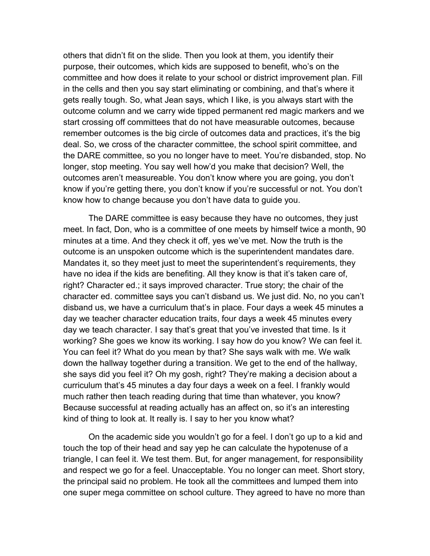others that didn't fit on the slide. Then you look at them, you identify their purpose, their outcomes, which kids are supposed to benefit, who's on the committee and how does it relate to your school or district improvement plan. Fill in the cells and then you say start eliminating or combining, and that's where it gets really tough. So, what Jean says, which I like, is you always start with the outcome column and we carry wide tipped permanent red magic markers and we start crossing off committees that do not have measurable outcomes, because remember outcomes is the big circle of outcomes data and practices, it's the big deal. So, we cross of the character committee, the school spirit committee, and the DARE committee, so you no longer have to meet. You're disbanded, stop. No longer, stop meeting. You say well how'd you make that decision? Well, the outcomes aren't measureable. You don't know where you are going, you don't know if you're getting there, you don't know if you're successful or not. You don't know how to change because you don't have data to guide you.

The DARE committee is easy because they have no outcomes, they just meet. In fact, Don, who is a committee of one meets by himself twice a month, 90 minutes at a time. And they check it off, yes we've met. Now the truth is the outcome is an unspoken outcome which is the superintendent mandates dare. Mandates it, so they meet just to meet the superintendent's requirements, they have no idea if the kids are benefiting. All they know is that it's taken care of, right? Character ed.; it says improved character. True story; the chair of the character ed. committee says you can't disband us. We just did. No, no you can't disband us, we have a curriculum that's in place. Four days a week 45 minutes a day we teacher character education traits, four days a week 45 minutes every day we teach character. I say that's great that you've invested that time. Is it working? She goes we know its working. I say how do you know? We can feel it. You can feel it? What do you mean by that? She says walk with me. We walk down the hallway together during a transition. We get to the end of the hallway, she says did you feel it? Oh my gosh, right? They're making a decision about a curriculum that's 45 minutes a day four days a week on a feel. I frankly would much rather then teach reading during that time than whatever, you know? Because successful at reading actually has an affect on, so it's an interesting kind of thing to look at. It really is. I say to her you know what?

On the academic side you wouldn't go for a feel. I don't go up to a kid and touch the top of their head and say yep he can calculate the hypotenuse of a triangle, I can feel it. We test them. But, for anger management, for responsibility and respect we go for a feel. Unacceptable. You no longer can meet. Short story, the principal said no problem. He took all the committees and lumped them into one super mega committee on school culture. They agreed to have no more than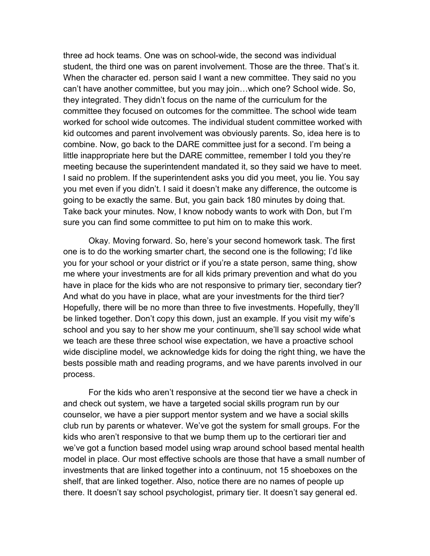three ad hock teams. One was on school-wide, the second was individual student, the third one was on parent involvement. Those are the three. That's it. When the character ed. person said I want a new committee. They said no you can't have another committee, but you may join…which one? School wide. So, they integrated. They didn't focus on the name of the curriculum for the committee they focused on outcomes for the committee. The school wide team worked for school wide outcomes. The individual student committee worked with kid outcomes and parent involvement was obviously parents. So, idea here is to combine. Now, go back to the DARE committee just for a second. I'm being a little inappropriate here but the DARE committee, remember I told you they're meeting because the superintendent mandated it, so they said we have to meet. I said no problem. If the superintendent asks you did you meet, you lie. You say you met even if you didn't. I said it doesn't make any difference, the outcome is going to be exactly the same. But, you gain back 180 minutes by doing that. Take back your minutes. Now, I know nobody wants to work with Don, but I'm sure you can find some committee to put him on to make this work.

Okay. Moving forward. So, here's your second homework task. The first one is to do the working smarter chart, the second one is the following; I'd like you for your school or your district or if you're a state person, same thing, show me where your investments are for all kids primary prevention and what do you have in place for the kids who are not responsive to primary tier, secondary tier? And what do you have in place, what are your investments for the third tier? Hopefully, there will be no more than three to five investments. Hopefully, they'll be linked together. Don't copy this down, just an example. If you visit my wife's school and you say to her show me your continuum, she'll say school wide what we teach are these three school wise expectation, we have a proactive school wide discipline model, we acknowledge kids for doing the right thing, we have the bests possible math and reading programs, and we have parents involved in our process.

For the kids who aren't responsive at the second tier we have a check in and check out system, we have a targeted social skills program run by our counselor, we have a pier support mentor system and we have a social skills club run by parents or whatever. We've got the system for small groups. For the kids who aren't responsive to that we bump them up to the certiorari tier and we've got a function based model using wrap around school based mental health model in place. Our most effective schools are those that have a small number of investments that are linked together into a continuum, not 15 shoeboxes on the shelf, that are linked together. Also, notice there are no names of people up there. It doesn't say school psychologist, primary tier. It doesn't say general ed.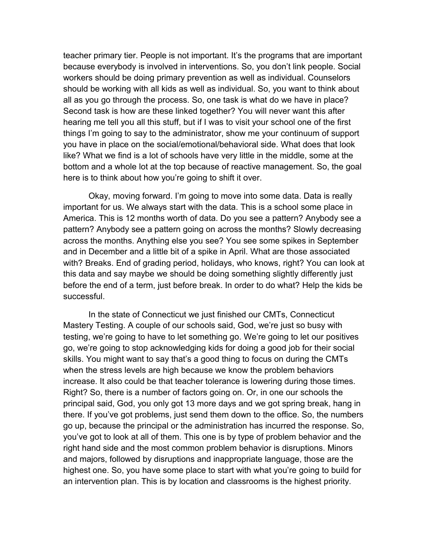teacher primary tier. People is not important. It's the programs that are important because everybody is involved in interventions. So, you don't link people. Social workers should be doing primary prevention as well as individual. Counselors should be working with all kids as well as individual. So, you want to think about all as you go through the process. So, one task is what do we have in place? Second task is how are these linked together? You will never want this after hearing me tell you all this stuff, but if I was to visit your school one of the first things I'm going to say to the administrator, show me your continuum of support you have in place on the social/emotional/behavioral side. What does that look like? What we find is a lot of schools have very little in the middle, some at the bottom and a whole lot at the top because of reactive management. So, the goal here is to think about how you're going to shift it over.

Okay, moving forward. I'm going to move into some data. Data is really important for us. We always start with the data. This is a school some place in America. This is 12 months worth of data. Do you see a pattern? Anybody see a pattern? Anybody see a pattern going on across the months? Slowly decreasing across the months. Anything else you see? You see some spikes in September and in December and a little bit of a spike in April. What are those associated with? Breaks. End of grading period, holidays, who knows, right? You can look at this data and say maybe we should be doing something slightly differently just before the end of a term, just before break. In order to do what? Help the kids be successful.

In the state of Connecticut we just finished our CMTs, Connecticut Mastery Testing. A couple of our schools said, God, we're just so busy with testing, we're going to have to let something go. We're going to let our positives go, we're going to stop acknowledging kids for doing a good job for their social skills. You might want to say that's a good thing to focus on during the CMTs when the stress levels are high because we know the problem behaviors increase. It also could be that teacher tolerance is lowering during those times. Right? So, there is a number of factors going on. Or, in one our schools the principal said, God, you only got 13 more days and we got spring break, hang in there. If you've got problems, just send them down to the office. So, the numbers go up, because the principal or the administration has incurred the response. So, you've got to look at all of them. This one is by type of problem behavior and the right hand side and the most common problem behavior is disruptions. Minors and majors, followed by disruptions and inappropriate language, those are the highest one. So, you have some place to start with what you're going to build for an intervention plan. This is by location and classrooms is the highest priority.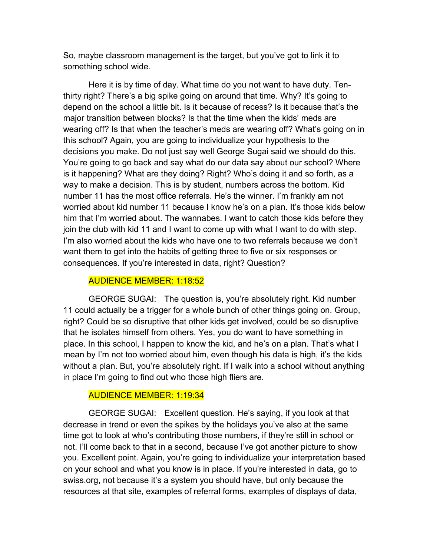So, maybe classroom management is the target, but you've got to link it to something school wide.

Here it is by time of day. What time do you not want to have duty. Tenthirty right? There's a big spike going on around that time. Why? It's going to depend on the school a little bit. Is it because of recess? Is it because that's the major transition between blocks? Is that the time when the kids' meds are wearing off? Is that when the teacher's meds are wearing off? What's going on in this school? Again, you are going to individualize your hypothesis to the decisions you make. Do not just say well George Sugai said we should do this. You're going to go back and say what do our data say about our school? Where is it happening? What are they doing? Right? Who's doing it and so forth, as a way to make a decision. This is by student, numbers across the bottom. Kid number 11 has the most office referrals. He's the winner. I'm frankly am not worried about kid number 11 because I know he's on a plan. It's those kids below him that I'm worried about. The wannabes. I want to catch those kids before they join the club with kid 11 and I want to come up with what I want to do with step. I'm also worried about the kids who have one to two referrals because we don't want them to get into the habits of getting three to five or six responses or consequences. If you're interested in data, right? Question?

## AUDIENCE MEMBER: 1:18:52

GEORGE SUGAI: The question is, you're absolutely right. Kid number 11 could actually be a trigger for a whole bunch of other things going on. Group, right? Could be so disruptive that other kids get involved, could be so disruptive that he isolates himself from others. Yes, you do want to have something in place. In this school, I happen to know the kid, and he's on a plan. That's what I mean by I'm not too worried about him, even though his data is high, it's the kids without a plan. But, you're absolutely right. If I walk into a school without anything in place I'm going to find out who those high fliers are.

## AUDIENCE MEMBER: 1:19:34

GEORGE SUGAI: Excellent question. He's saying, if you look at that decrease in trend or even the spikes by the holidays you've also at the same time got to look at who's contributing those numbers, if they're still in school or not. I'll come back to that in a second, because I've got another picture to show you. Excellent point. Again, you're going to individualize your interpretation based on your school and what you know is in place. If you're interested in data, go to swiss.org, not because it's a system you should have, but only because the resources at that site, examples of referral forms, examples of displays of data,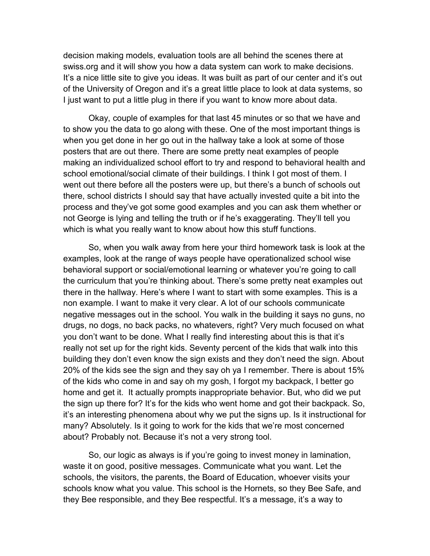decision making models, evaluation tools are all behind the scenes there at swiss.org and it will show you how a data system can work to make decisions. It's a nice little site to give you ideas. It was built as part of our center and it's out of the University of Oregon and it's a great little place to look at data systems, so I just want to put a little plug in there if you want to know more about data.

Okay, couple of examples for that last 45 minutes or so that we have and to show you the data to go along with these. One of the most important things is when you get done in her go out in the hallway take a look at some of those posters that are out there. There are some pretty neat examples of people making an individualized school effort to try and respond to behavioral health and school emotional/social climate of their buildings. I think I got most of them. I went out there before all the posters were up, but there's a bunch of schools out there, school districts I should say that have actually invested quite a bit into the process and they've got some good examples and you can ask them whether or not George is lying and telling the truth or if he's exaggerating. They'll tell you which is what you really want to know about how this stuff functions.

So, when you walk away from here your third homework task is look at the examples, look at the range of ways people have operationalized school wise behavioral support or social/emotional learning or whatever you're going to call the curriculum that you're thinking about. There's some pretty neat examples out there in the hallway. Here's where I want to start with some examples. This is a non example. I want to make it very clear. A lot of our schools communicate negative messages out in the school. You walk in the building it says no guns, no drugs, no dogs, no back packs, no whatevers, right? Very much focused on what you don't want to be done. What I really find interesting about this is that it's really not set up for the right kids. Seventy percent of the kids that walk into this building they don't even know the sign exists and they don't need the sign. About 20% of the kids see the sign and they say oh ya I remember. There is about 15% of the kids who come in and say oh my gosh, I forgot my backpack, I better go home and get it. It actually prompts inappropriate behavior. But, who did we put the sign up there for? It's for the kids who went home and got their backpack. So, it's an interesting phenomena about why we put the signs up. Is it instructional for many? Absolutely. Is it going to work for the kids that we're most concerned about? Probably not. Because it's not a very strong tool.

So, our logic as always is if you're going to invest money in lamination, waste it on good, positive messages. Communicate what you want. Let the schools, the visitors, the parents, the Board of Education, whoever visits your schools know what you value. This school is the Hornets, so they Bee Safe, and they Bee responsible, and they Bee respectful. It's a message, it's a way to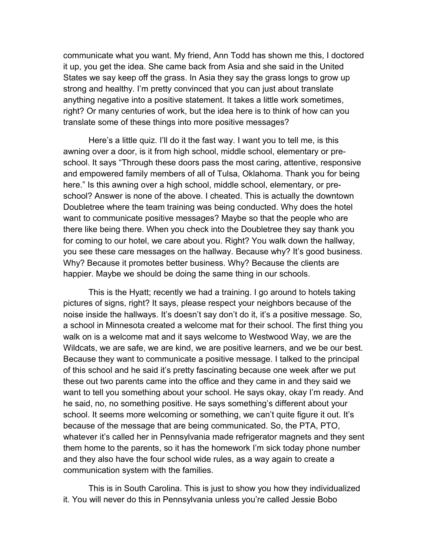communicate what you want. My friend, Ann Todd has shown me this, I doctored it up, you get the idea. She came back from Asia and she said in the United States we say keep off the grass. In Asia they say the grass longs to grow up strong and healthy. I'm pretty convinced that you can just about translate anything negative into a positive statement. It takes a little work sometimes, right? Or many centuries of work, but the idea here is to think of how can you translate some of these things into more positive messages?

Here's a little quiz. I'll do it the fast way. I want you to tell me, is this awning over a door, is it from high school, middle school, elementary or preschool. It says "Through these doors pass the most caring, attentive, responsive and empowered family members of all of Tulsa, Oklahoma. Thank you for being here." Is this awning over a high school, middle school, elementary, or preschool? Answer is none of the above. I cheated. This is actually the downtown Doubletree where the team training was being conducted. Why does the hotel want to communicate positive messages? Maybe so that the people who are there like being there. When you check into the Doubletree they say thank you for coming to our hotel, we care about you. Right? You walk down the hallway, you see these care messages on the hallway. Because why? It's good business. Why? Because it promotes better business. Why? Because the clients are happier. Maybe we should be doing the same thing in our schools.

This is the Hyatt; recently we had a training. I go around to hotels taking pictures of signs, right? It says, please respect your neighbors because of the noise inside the hallways. It's doesn't say don't do it, it's a positive message. So, a school in Minnesota created a welcome mat for their school. The first thing you walk on is a welcome mat and it says welcome to Westwood Way, we are the Wildcats, we are safe, we are kind, we are positive learners, and we be our best. Because they want to communicate a positive message. I talked to the principal of this school and he said it's pretty fascinating because one week after we put these out two parents came into the office and they came in and they said we want to tell you something about your school. He says okay, okay I'm ready. And he said, no, no something positive. He says something's different about your school. It seems more welcoming or something, we can't quite figure it out. It's because of the message that are being communicated. So, the PTA, PTO, whatever it's called her in Pennsylvania made refrigerator magnets and they sent them home to the parents, so it has the homework I'm sick today phone number and they also have the four school wide rules, as a way again to create a communication system with the families.

This is in South Carolina. This is just to show you how they individualized it. You will never do this in Pennsylvania unless you're called Jessie Bobo